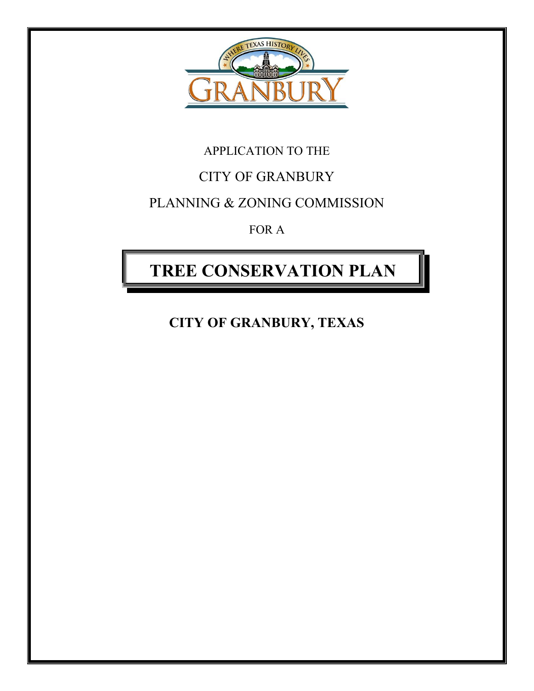

## APPLICATION TO THE

## CITY OF GRANBURY

### PLANNING & ZONING COMMISSION

FOR A

# **TREE CONSERVATION PLAN**

**CITY OF GRANBURY, TEXAS**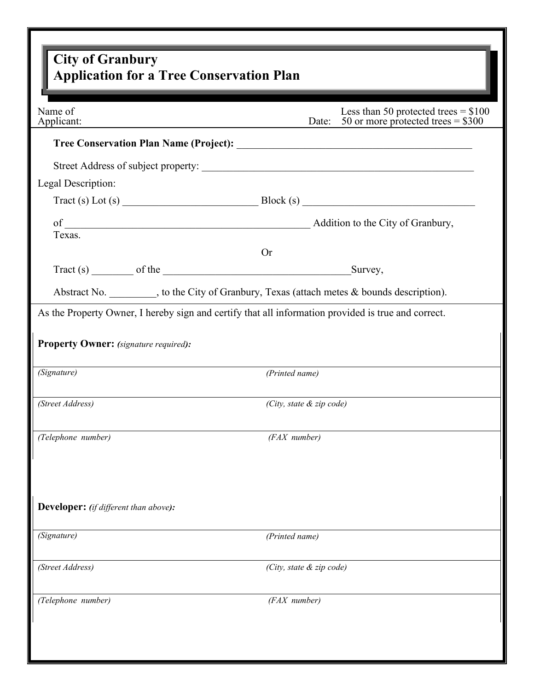| <b>City of Granbury</b><br><b>Application for a Tree Conservation Plan</b>                          |                                                                                              |
|-----------------------------------------------------------------------------------------------------|----------------------------------------------------------------------------------------------|
|                                                                                                     |                                                                                              |
|                                                                                                     |                                                                                              |
|                                                                                                     |                                                                                              |
| Legal Description:                                                                                  |                                                                                              |
|                                                                                                     | $\text{Tract}(s) \text{ Lot}(s)$                                                             |
| Texas.                                                                                              |                                                                                              |
|                                                                                                     | <b>Or</b>                                                                                    |
|                                                                                                     |                                                                                              |
|                                                                                                     | Abstract No. __________, to the City of Granbury, Texas (attach metes & bounds description). |
| As the Property Owner, I hereby sign and certify that all information provided is true and correct. |                                                                                              |
| <b>Property Owner:</b> (signature required):                                                        |                                                                                              |
| (Signature)                                                                                         | (Printed name)                                                                               |
| (Street Address)                                                                                    | (City, state $\&$ zip code)                                                                  |
| (Telephone number)                                                                                  | (FAX number)                                                                                 |
|                                                                                                     |                                                                                              |
| Developer: (if different than above):                                                               |                                                                                              |
| (Signature)                                                                                         | (Printed name)                                                                               |
| (Street Address)                                                                                    | (City, state & zip code)                                                                     |
| (Telephone number)                                                                                  | (FAX number)                                                                                 |
|                                                                                                     |                                                                                              |
|                                                                                                     |                                                                                              |